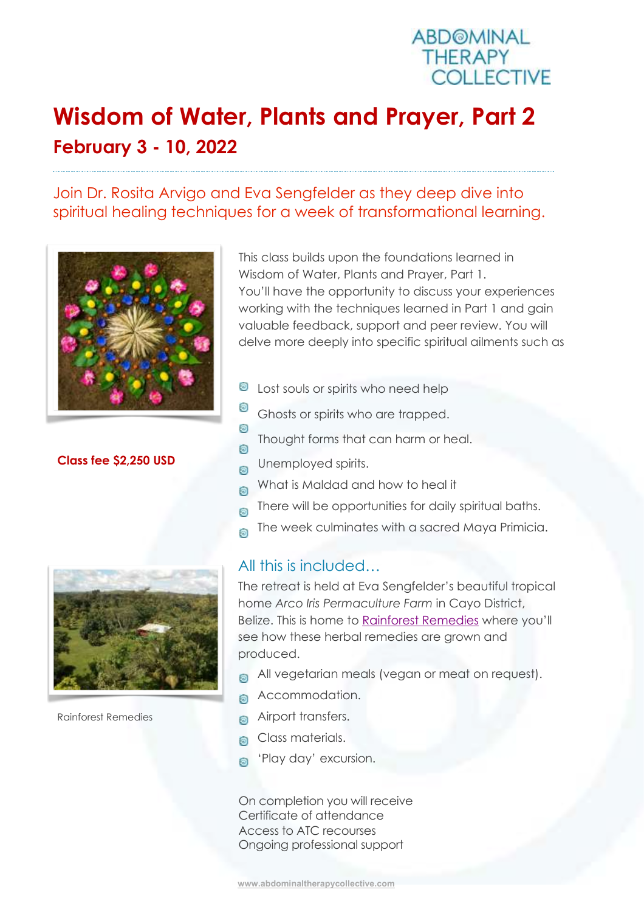

## **Wisdom of Water, Plants and Prayer, Part 2 February 3 - 10, 2022**

## Join Dr. Rosita Arvigo and Eva Sengfelder as they deep dive into spiritual healing techniques for a week of transformational learning.



**Class fee \$2,250 USD**



Rainforest Remedies

This class builds upon the foundations learned in Wisdom of Water, Plants and Prayer, Part 1. You'll have the opportunity to discuss your experiences working with the techniques learned in Part 1 and gain valuable feedback, support and peer review. You will delve more deeply into specific spiritual ailments such as

- **E** Lost souls or spirits who need help
- Θ Ghosts or spirits who are trapped.
- Θ Thought forms that can harm or heal. 6
- Unemployed spirits. Ō
- What is Maldad and how to heal it 6
- There will be opportunities for daily spiritual baths. 6
- The week culminates with a sacred Maya Primicia. 6

## All this is included…

The retreat is held at Eva Sengfelder's beautiful tropical home *Arco Iris Permaculture Farm* in Cayo District, Belize. This is home to [Rainforest Remedies](http://www.rainforestremediesbelize.com/) where you'll see how these herbal remedies are grown and produced.

- All vegetarian meals (vegan or meat on request). ெ
- Accommodation. බ
- Airport transfers. බ
- Class materials. Ō.
- 'Play day' excursion. බ

On completion you will receive Certificate of attendance Access to ATC recourses Ongoing professional support